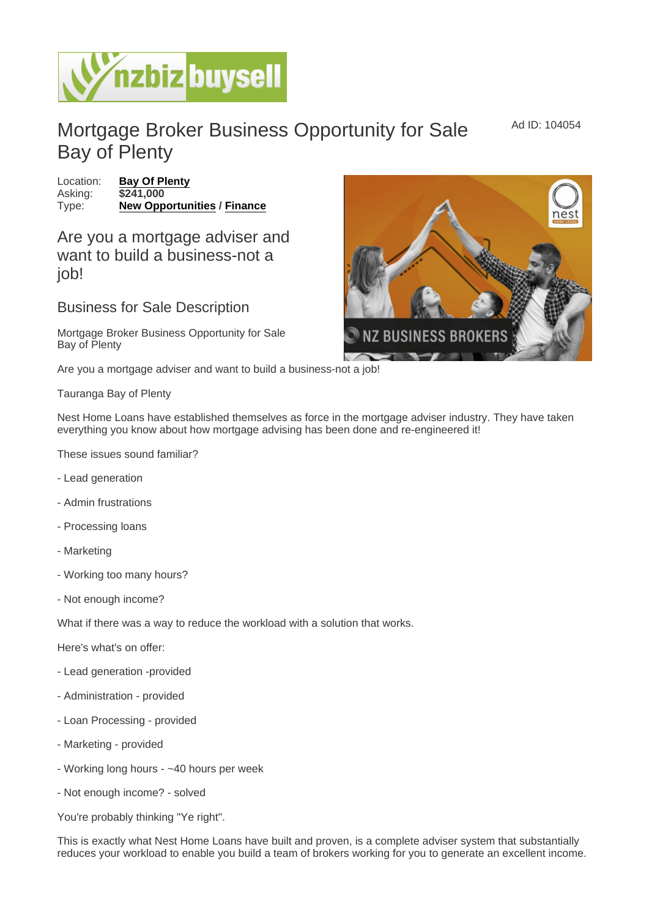Mortgage Broker Business Opportunity for Sale Bay of Plenty

Ad ID: 104054

Location: [Bay Of Plenty](https://www.nzbizbuysell.co.nz/businesses-for-sale/location/Bay-Of-Plenty) Asking: \$241,000 Type: [New Opportunities](https://www.nzbizbuysell.co.nz/businesses-for-sale/New-Opportunities/New-Zealand) / [Finance](https://www.nzbizbuysell.co.nz/businesses-for-sale/Finance/New-Zealand)

Are you a mortgage adviser and want to build a business-not a job!

Business for Sale Description

Mortgage Broker Business Opportunity for Sale Bay of Plenty

Are you a mortgage adviser and want to build a business-not a job!

Tauranga Bay of Plenty

Nest Home Loans have established themselves as force in the mortgage adviser industry. They have taken everything you know about how mortgage advising has been done and re-engineered it!

These issues sound familiar?

- Lead generation
- Admin frustrations
- Processing loans
- Marketing
- Working too many hours?
- Not enough income?

What if there was a way to reduce the workload with a solution that works.

Here's what's on offer:

- Lead generation -provided
- Administration provided
- Loan Processing provided
- Marketing provided
- Working long hours ~40 hours per week
- Not enough income? solved

You're probably thinking "Ye right".

This is exactly what Nest Home Loans have built and proven, is a complete adviser system that substantially reduces your workload to enable you build a team of brokers working for you to generate an excellent income.